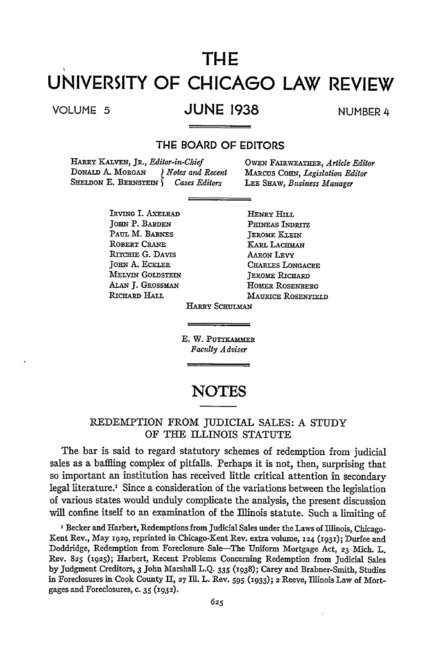# **THE UNIVERSITY OF CHICAGO LAW REVIEW**

## VOLUME 5 JUNE **1938**

NUMBER 4

### THE BOARD **OF** EDITORS

**HARRY KALVEN,** JR., *Editor-in-Chief* DONALD A. MORGAN *I Notes and Recent* SHELDON E. BERNSTEIN *Cases Editors* 

**OwEN FAiWEATIER,** *Article Editor* MARcus CoHN, *Legislation Editor* **LEE SHAw,** *Business Manager*

**IRViNG** I. **AXELEAD** JOHN P. **BARDEN** PAUL M. BARNES **ROBERT CRANE RITCHIE G.** DAVIS **JOHN** A. ECKLER **MELVIn GOLDSTEiN ALAN J.** GRossmAN **RICHARD** HALL

**HENRY HILL PHINEAS INDRITZ JEROME KLEIN** KARL **LAcHnAN** AARON LEVY **CHARLEs LONGACRE** JEROME RICHARD HOMER **ROSENBERG** MAURICE ROsENFIELD

**HARRY ScHuLmAN**

E. W. **PUTTKAMMER** *Faculty A dviser*

# **NOTES**

### REDEMPTION FROM JUDICIAL SALES: A STUDY OF **THE** ILLINOIS STATUTE

The bar is said to regard statutory schemes of redemption from judicial sales as a baffling complex of pitfalls. Perhaps it is not, then, surprising that so important an institution has received little critical attention in secondary legal literature.' Since a consideration of the variations between the legislation of various states would unduly complicate the analysis, the present discussion will confine itself to an examination of the Illinois statute. Such a limiting of

' Becker and Harbert, Redemptions from Judicial Sales under the Laws of Illinois, Chicago-Kent Rev., May 1929, reprinted in Chicago-Kent Rev. extra volume, **124 (1931);** Durfee and Doddridge, Redemption from Foreclosure Sale--The Uniform Mortgage Act, **23** Mich. L. Rev. **825 (1925);** Harbert, Recent Problems Concerning Redemption from Judicial Sales by Judgment Creditors, 3 John Marshall L.Q. 335 (1938); Carey and Brabner-Smith, Studies in Foreclosures in Cook County **11, 27** Ill. L. Rev. *595* (933); 2 Reeve, Illinois Law of Mortgages and Foreclosures, c. 35 **(1932).**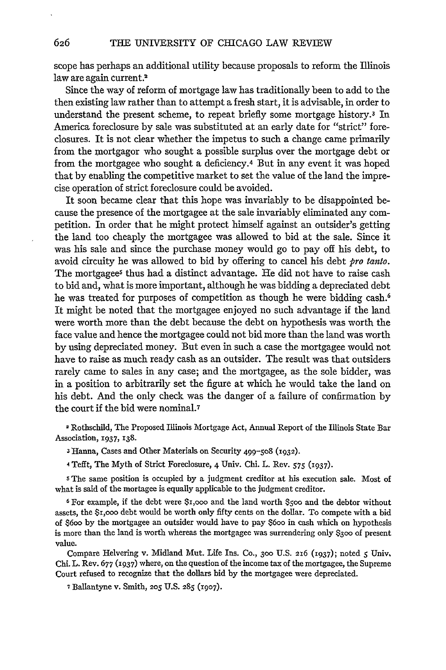scope has perhaps an additional utility because proposals to reform the Illinois law are again current.2

Since the way of reform of mortgage law has traditionally been to add to the then existing law rather than to attempt a fresh start, it is advisable, in order to understand the present scheme, to repeat briefly some mortgage history.3 In America foreclosure by sale was substituted at an early date for "strict" foreclosures. It is not clear whether the impetus to such a change came primarily from the mortgagor who sought a possible surplus over the mortgage debt or from the mortgagee who sought a deficiency.4 But in any event it was hoped that by enabling the competitive market to set the value of the land the imprecise operation of strict foreclosure could be avoided.

It soon became clear that this hope was invariably to be disappointed because the presence of the mortgagee at the sale invariably eliminated any competition. In order that he might protect himself against an outsider's getting the land too cheaply the mortgagee was allowed to bid at the sale. Since it was his sale and since the purchase money would go to pay off his debt, to avoid circuity he was allowed to bid by offering to cancel his debt *pro tanto.* The mortgagee<sup>5</sup> thus had a distinct advantage. He did not have to raise cash to bid and, what is more important, although he was bidding a depreciated debt he was treated for purposes of competition as though he were bidding cash.<sup>6</sup> It might be noted that the mortgagee enjoyed no such advantage if the land were worth more than the debt because the debt on hypothesis was worth the face value and hence the mortgagee could not bid more than the land was worth by using depreciated money. But even in such a case the mortgagee would not have to raise as much ready cash as an outsider. The result was that outsiders rarely came to sales in any case; and the mortgagee, as the sole bidder, was in a position to arbitrarily set the figure at which he would take the land on his debt. And the only check was the danger of a failure of confirmation by the court if the bid were nominal.7

2Rothschild, The Proposed Illinois Mortgage Act, Annual Report of the Illinois State Bar Association, 1937, 138.

311anna, Cases and Other Materials on Security 499-508 **(1932).**

**4** Tefit, The Myth of Strict Foreclosure, 4 Univ. Chi. L. Rev. **575 (1937)-**

**5** The same position is occupied by a judgment creditor at his execution sale. Most of what is said of the mortagee is equally applicable to the judgment creditor.

**6** For example, if the debt were \$i,ooo and the land worth \$5oo and the debtor without assets, the \$i,ooo debt would be worth only fifty cents on the dollar. To compete with a bid of \$6oo by the mortgagee an outsider would have to pay \$6oo in cash which on hypothesis is more than the land is worth whereas the mortgagee was surrendering only **\$300** of present value.

Compare Helvering v. Midland Mut. Life Ins. **Co., 300 U.S. 26** (1937); noted **5** Univ. Chi. L. Rev. **677** (1937) where, on the question of the income tax of the mortgagee, the Supreme Court refused to recognize that the dollars bid by the mortgagee were depreciated.

**7** Ballantyne v. Smith, **205** U.S. **285 (1907).**

626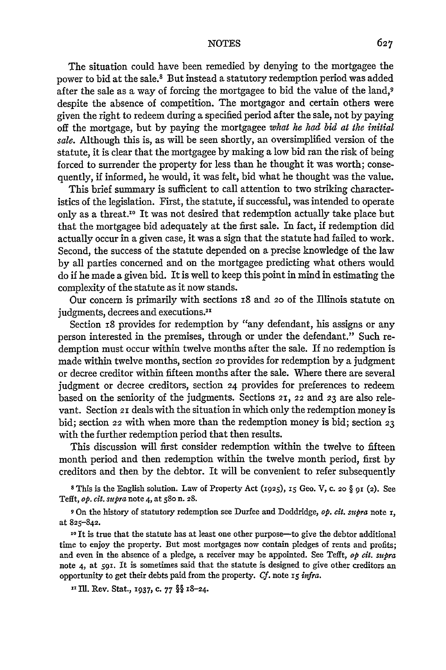The situation could have been remedied by denying to the mortgagee the power to bid at the sale.<sup>8</sup> But instead a statutory redemption period was added after the sale as a way of forcing the mortgagee to bid the value of the land,9 despite the absence of competition. The mortgagor and certain others were given the right to redeem during a specified period after the sale, not by paying off the mortgage, but by paying the mortgagee *what he had bid at the initial sale.* Although this is, as will be seen shortly, an oversimplified version of the statute, it is clear that the mortgagee by making a low bid ran the risk of being forced to surrender the property for less than he thought it was worth; consequently, if informed, he would, it was felt, bid what he thought was the value.

This brief summary is sufficient to call attention to two striking characteristics of the legislation. First, the statute, if successful, was intended to operate only as a threat.10 It was not desired that redemption actually take place but that the mortgagee bid adequately at the first sale. In fact, if redemption did actually occur in a given case, it was a sign that the statute had failed to work. Second, the success of the statute depended on a precise knowledge of the law by all parties concerned and on the mortgagee predicting what others would do if he made a given bid. It is well to keep this point in mind in estimating the complexity of the statute as it now stands.

Our concern is primarily with sections 18 and 20 of the Illinois statute on judgments, decrees and executions.<sup>11</sup>

Section 18 provides for redemption by "any defendant, his assigns or any person interested in the premises, through or under the defendant." Such redemption must occur within twelve months after the sale. If no redemption is made within twelve months, section 2o provides for redemption by a judgment or decree creditor within fifteen months after the sale. Where there are several judgment or decree creditors, section 24 provides for preferences to redeem based on the seniority of the judgments. Sections **21,** 22 and **23** are also relevant. Section **21** deals with the situation in which only the redemption money is bid; section 22 with when more than the redemption money is bid; section **23** with the further redemption period that then results.

This discussion will first consider redemption within the twelve to fifteen month period and then redemption within the twelve month period, first by creditors and then by the debtor. It will be convenient to refer subsequently

**8** This is the English solution. Law of Property Act (1925), **i5** Geo. V, **c. 20** § 91 (2). See Tefft, *op. cit. stpra* note 4, at 58o n. 28.

**<sup>9</sup>**On the history of statutory redemption see Durfee and Doddridge, *op. cit. supra* note *x,* at **825-842.**

<sup>10</sup> It is true that the statute has at least one other purpose—to give the debtor additional time to enjoy the property. But most mortgages now contain pledges of rents and profits; and even in the absence of a pledge, a receiver may be appointed. See Tefft, *op cit. supra* note 4, at 591. It is sometimes said that the statute is designed to give other creditors an opportunity to get their debts paid from the property. Cf. note 15 infra.

**11 Ill.** Rev. stat., **1937,** c. **77** §§ 18-24.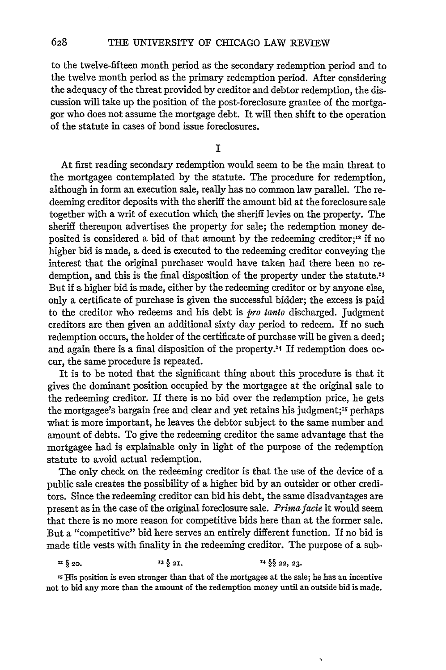to the twelve-fifteen month period as the secondary redemption period and to the twelve month period as the primary redemption period. After considering the adequacy of the threat provided by creditor and debtor redemption, the discussion will take up the position of the post-foreclosure grantee of the mortgagor who does not assume the mortgage debt. It will then shift to the operation of the statute in cases of bond issue foreclosures.

**I**

At first reading secondary redemption would seem to be the main threat to the mortgagee contemplated by the statute. The procedure for redemption, although in form an execution sale, really has no common law parallel. The redeeming creditor deposits with the sheriff the amount bid at the foreclosure sale together with a writ of execution which the sheriff levies on the property. The sheriff thereupon advertises the property for sale; the redemption money deposited is considered a bid of that amount by the redeeming creditor; $I<sup>2</sup>$  if no higher bid is made, a deed is executed to the redeeming creditor conveying the interest that the original purchaser would have taken had there been no redemption, and this is the final disposition of the property under the statute.<sup>13</sup> But if a higher bid is made, either by the redeeming creditor or by anyone else, only a certificate of purchase is given the successful bidder; the excess is paid to the creditor who redeems and his debt is *pro tanto* discharged. Judgment creditors are then given an additional sixty day period to redeem. If no such redemption occurs, the holder of the certificate of purchase will be given a deed; and again there is a final disposition of the property.'4 If redemption does occur, the same procedure is repeated.

It is to be noted that the significant thing about this procedure is that it gives the dominant position occupied by the mortgagee at the original sale to the redeeming creditor. If there is no bid over the redemption price, he gets the mortgagee's bargain free and clear and yet retains his judgment;<sup>15</sup> perhaps what is more important, he leaves the debtor subject to the same number and amount of debts. To give the redeeming creditor the same advantage that the mortgagee had is explainable only in light of the purpose of the redemption statute to avoid actual redemption.

The only check on the redeeming creditor is that the use of the device of a public sale creates the possibility of a higher bid by an outsider or other creditors. Since the redeeming creditor can bid his debt, the same disadvantages are present as in the case of the original foreclosure sale. *Prima fade* it would seem that there is no more reason for competitive bids here than at the former sale. But a "competitive" bid here serves an entirely different function. If no bid is made title vests with finality in the redeeming creditor. The purpose of a sub-

 $\frac{12}{9}$   $\frac{13}{9}$   $\frac{13}{9}$   $\frac{14}{9}$   $\frac{16}{9}$   $\frac{22}{3}$ .

**is** His position is even stronger than that of the mortgagee at the sale; he has an incentive not to bid any more than the amount of the redemption money until an outside bid is made.

Ń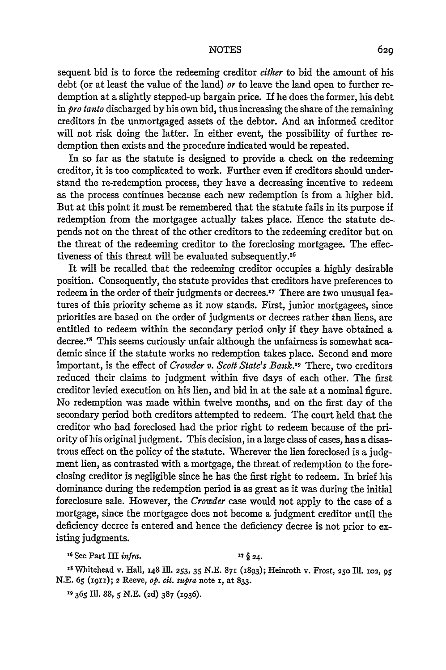sequent bid is to force the redeeming creditor *either* to bid the amount of his debt (or at least the value of the land) *or* to leave the land open to further redemption at a slightly stepped-up bargain price. If he does the former, his debt in *pro tanto* discharged by his own bid, thus increasing the share of the remaining creditors in the unmortgaged assets of the debtor. And an informed creditor will not risk doing the latter. In either event, the possibility of further redemption then exists and the procedure indicated would be repeated.

In so far as the statute is designed to provide a check on the redeeming creditor, it is too complicated to work. Further even **if** creditors should understand the re-redemption process, they have a decreasing incentive to redeem as the process continues because each new redemption is from a higher bid. But at this point it must be remembered that the statute fails in its purpose if redemption from the mortgagee actually takes place. Hence the statute de- pends not on the threat of the other creditors to the redeeming creditor but on the threat of the redeeming creditor to the foreclosing mortgagee. The effectiveness of this threat will be evaluated subsequently.<sup>16</sup>

It will be recalled that the redeeming creditor occupies a highly desirable position. Consequently, the statute provides that creditors have preferences to redeem in the order of their judgments or decrees.<sup>17</sup> There are two unusual features of this priority scheme as it now stands. First, junior mortgagees, since priorities are based on the order of judgments or decrees rather than liens, are entitled to redeem within the secondary period only if they have obtained a decree.<sup>18</sup> This seems curiously unfair although the unfairness is somewhat academic since if the statute works no redemption takes place. Second and more important, is the effect of *Crowder v. Scott State's Bank.'9* There, two creditors reduced their claims to judgment within five days of each other. The first creditor levied execution on his lien, and bid in at the sale at a nominal figure. No redemption was made within twelve months, and on the first day of the secondary period both creditors attempted to redeem. The court held that the creditor who had foreclosed had the prior right to redeem because of the priority of his original judgment. This decision, in a large class of cases, has a disastrous effect on the policy of the statute. Wherever the lien foreclosed is a judgment lien, as contrasted with a mortgage, the threat of redemption to the foreclosing creditor is negligible since he has the first right to redeem. In brief his dominance during the redemption period is as great as it was during the initial foreclosure sale. However, the *Crowder* case would not apply to the case of a mortgage, since the mortgagee does not become a judgment creditor until the deficiency decree is entered and hence the deficiency decree is not prior to existing judgments.

**16** See Part III *infra.* **17** § **24.**

**Is** Witehead v. Hall, 148 Ill. **253,** 35 N.E. 871 (1893); Heinroth v. Frost, 250 Ill. **102,** 95 N.E. *65* **(1g91);** 2 Reeve, *op. cit. supra* note i, at 833.

x9 *365* IIl. 88, *5* N.E. (2d) 387 (1936).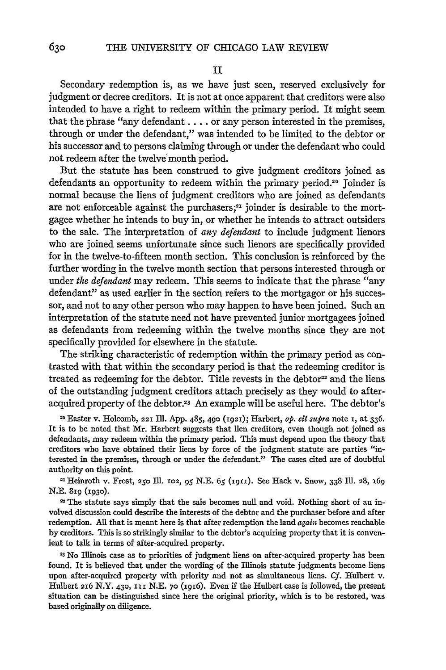Secondary redemption is, as we have just seen, reserved exclusively for judgment or decree creditors. It is not at once apparent that creditors were also intended to have a right to redeem within the primary period. It might seem that the phrase "any defendant **....** or any person interested in the premises, through or under the defendant," was intended to be limited to the debtor or his successor and to persons claiming through or under the defendant who could not redeem after the twelve'month period.

But the statute has been construed to give judgment creditors joined as defendants an opportunity to redeem within the primary period.<sup>20</sup> Joinder is normal because the liens of judgment creditors who are joined as defendants are not enforceable against the purchasers; $22$  joinder is desirable to the mortgagee whether he intends to buy in, or whether he intends to attract outsiders to the sale. The interpretation of *any defendant* to include judgment lienors who are joined seems unfortunate since such lienors are specifically provided for in the twelve-to-fifteen month section. This conclusion is reinforced by the further wording in the twelve month section that persons interested through or under *the defendant* may redeem. This seems to indicate that the phrase "any defendant" as used earlier in the section refers to the mortgagor or his successor, and not to any other person who may happen to have been joined. Such an interpretation of the statute need not have prevented junior mortgagees joined as defendants from redeeming within the twelve months since they are not specifically provided for elsewhere in the statute.

The striking characteristic of redemption within the primary period as contrasted with that within the secondary period is that the redeeming creditor is treated as redeeming for the debtor. Title revests in the debtor<sup>22</sup> and the liens of the outstanding judgment creditors attach precisely as they would to afteracquired property of the debtor.<sup>23</sup> An example will be useful here. The debtor's

20 Easter v. Holcomb, 22 111. App. 485, **490** (1921); Harbert, *op. cit supra* note i, at 336. It is to be noted that Mr. Harbert suggests that lien creditors, even though not joined as defendants, may redeem within the primary period. This must depend upon the theory that creditors who have obtained their liens by force of the judgment statute are parties "interested in the premises, through or under the defendant." The cases cited are of doubtful authority on this point.

21 Heinroth v. Frost, **250** Ill. **102, 95 N.E.** *65* **(191i).** See Hack v. Snow, 338 Il. **28, [69** N.E. 8i9 **(1930).**

The statute says simply that the sale becomes null and void. Nothing short of an involved discussion could describe the interests of the debtor and the purchaser before and after redemption. All that is meant here is that after redemption the land *again* becomes reachable by creditors. This is so strikingly similar to the debtor's acquiring property that it is convenient to talk in terms of after-acquired property.

23No Illinois case as to priorities of judgment liens on after-acquired property has been found. It is believed that under the wording of the Illinois statute judgments become liens upon after-acquired property with priority and not as simultaneous liens. Cf. Hulbert v. Hulbert 216 N.Y. 43o , **iii N.E. 70** (1916). Even if the Hulbert case is followed, the present situation can be distinguished since here the original priority, which is to be restored, was based originally on diligence.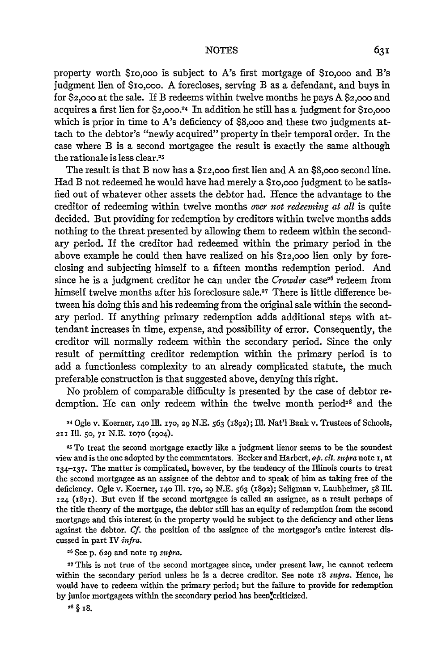property worth \$io,ooo is subject to A's first mortgage of \$io,ooo and B's judgment lien of \$io,ooo. A forecloses, serving B as a defendant, and buys in for \$2,ooo at the sale. If B redeems within twelve months he pays A \$2,ooo and acquires a first lien for **\$2,ooo.24** In addition he still has a judgment for \$io,ooo which is prior in time to A's deficiency of \$8,ooo and these two judgments attach to the debtor's "newly acquired" property in their temporal order. In the case where B is a second mortgagee the result is exactly the same although the rationale is less clear.25

The result is that B now has a \$12,ooo first lien and A an \$8,ooo second line. Had B not redeemed he would have had merely a \$10,000 judgment to be satisfied out of whatever other assets the debtor had. Hence the advantage to the creditor of redeeming within twelve months *over not redeeming at all* is quite decided. But providing for redemption by creditors within twelve months adds nothing to the threat presented by allowing them to redeem within the secondary period. If the creditor had redeemed within the primary period in the above example he could then have realized on his \$12,ooo lien only by foreclosing and subjecting himself to a fifteen months redemption period. And since he is a judgment creditor he can under the *Crowder* case<sup>26</sup> redeem from himself twelve months after his foreclosure sale.<sup>27</sup> There is little difference between his doing this and his redeeming from the original sale within the secondary period. If anything primary redemption adds additional steps with attendant increases in time, expense, and possibility of error. Consequently, the creditor will normally redeem within the secondary period. Since the only result of permitting creditor redemption within the primary period is to add a functionless complexity to an already complicated statute, the much preferable construction is that suggested above, denying this right.

No problem of comparable difficulty is presented by the case of debtor redemption. He can only redeem within the twelve month period<sup>28</sup> and the

**<sup>24</sup>**Ogle v. Koerner, 140 Ill. **170,** 29 **N.E. 563** (1892); **Ill.** Nat'l Bank v. Trustees of Schools, **211 Ill. 50, 71 N.E. 1070 (1904).**

**2S** To treat the second mortgage exactly like a judgment lienor seems to be the soundest view and is the one adopted by the commentators. Becker and Harbert, *op. cit. supra* note i, at 134-I37. The matter is complicated, however, by the tendency of the Illinois courts to treat the second mortgagee as an assignee of the debtor and to speak of him as taking free of the deficiency. Ogle v. Koerner, 140 M1. **170,** 29 N.E. 563 (1892); Seligman v. Laubheimer, **58** Ill. **124 (1871).** But even **if** the second mortgagee is called an assignee, as a result perhaps of the title theory of the mortgage, the debtor still has an equity of redemption from the second mortgage and this interest in the property would be subject to the deficiency and other liens against the debtor. *Cf.* the position of the assignee of the mortgagor's entire interest discussed in part IV *infra.*

**26** See **p.** 629 and note **19** *supra.*

27This is not true of the second mortgagee since, under present law, he cannot redeem within the secondary period unless he is a decree creditor. See note i8 *supra.* Hence, he would have to redeem within the primary period; but the failure to provide for redemption by junior mortgagees within the secondary period has been criticized.

**28 § 8.**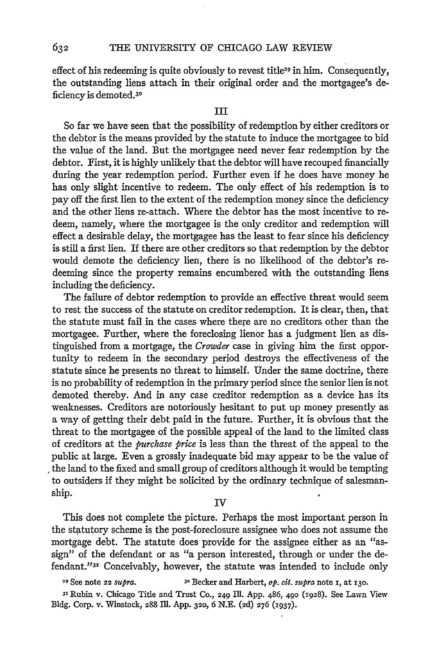effect of his redeeming is quite obviously to revest title<sup>29</sup> in him. Consequently the outstanding liens attach in their original order and the mortgagee's deficiency is demoted.3

#### III

So far we have seen that the possibility of redemption by either creditors or the debtor is the means provided by the statute to induce the mortgagee to bid the value of the land. But the mortgagee need never fear redemption by the debtor. First, it is highly unlikely that the debtor will have recouped financially during the year redemption period. Further even if he does have money he has only slight incentive to redeem. The only effect of his redemption is to pay off the first lien to the extent of the redemption money since the deficiency and the other liens re-attach. Where the debtor has the most incentive to redeem, namely, where the mortgagee is the only creditor and redemption will effect a desirable delay, the mortgagee has the least to fear since his deficiency is still a first lien. If there are other creditors so that redemption by the debtor would demote the deficiency lien, there is no likelihood of the debtor's redeeming since the property remains encumbered with the outstanding liens including the deficiency.

The failure of debtor redemption to provide an effective threat would seem to rest the success of the statute on creditor redemption. It is clear, then, that the statute must fail in the cases where there are no creditors other than the mortgagee. Further, where the foreclosing lienor has a judgment lien as distinguished from a mortgage, the *Crowder* case in giving him the first opportunity to redeem in the secondary period destroys the effectiveness of the statute since he presents no threat to himself. Under the same doctrine, there is no probability of redemption in the primary period since the senior lien is not demoted thereby. And in any case creditor redemption as a device has its weaknesses. Creditors are notoriously hesitant to put up money presently as a way of getting their debt paid in the future. Further, it is obvious that the threat to the mortgagee of the possible appeal of the land to the limited class of creditors at the *purchase price* is less than the threat of the appeal to the public at large. Even a grossly inadequate bid may appear to be the value of the land to the fixed and small group of creditors although it would be tempting to outsiders if they might be solicited by the ordinary technique of salesmanship.

#### IV

This does not complete the picture. Perhaps the most important person in the statutory scheme is the post-foreclosure assignee who does not assume the mortgage debt. The statute does provide for the assignee either as an "assign" of the defendant or as "a person interested, through or under the defendant."<sup>31</sup> Conceivably, however, the statute was intended to include only

"See note **22** *suptra.* **3o** Becker and Harbert, *op. cit. sutpra* note **i,** at i3o.

**<sup>31</sup>**Rubin v. Chicago Title and Trust Co., 249 **1T1.** App. 486, **490 (1928).** See Lawn View Bldg. Corp. v. Winstock, 288 Ill. App. 32o, **6** N.E. **(2d) 276** (1937).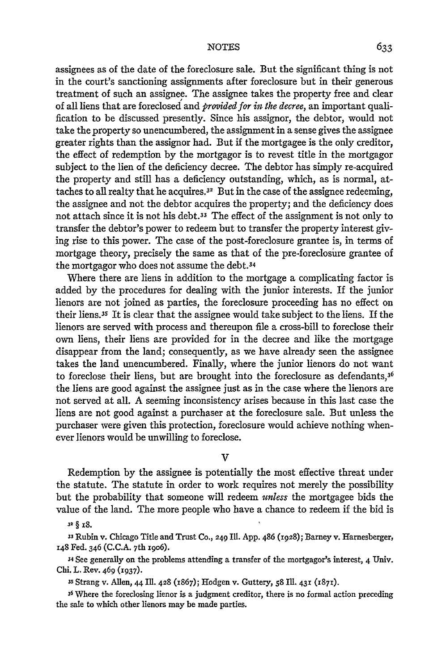assignees as of the date of the foreclosure sale. But the significant thing is not in the court's sanctioning assignments after foreclosure but in their generous treatment of such an assignee. The assignee takes the property free and clear of all liens that are foreclosed and *provided for in the decree*, an important qualification to be discussed presently. Since his assignor, the debtor, would not take the property so unencumbered, the assignment in a sense gives the assignee greater rights than the assignor had. But if the mortgagee is the only creditor, the effect of redemption by the mortgagor is to revest title in the mortgagor subject to the lien of the deficiency decree. The debtor has simply re-acquired the property and still has a deficiency outstanding, which, as is normal, attaches to all realty that he acquires.<sup>32</sup> But in the case of the assignee redeeming, the assignee and not the debtor acquires the property; and the deficiency does not attach since it is not his debt.33 The effect of the assignment is not only to transfer the debtor's power to redeem but to transfer the property interest giving rise to this power. The case of the post-foreclosure grantee is, in terms of mortgage theory, precisely the same as that of the pre-foreclosure grantee of the mortgagor who does not assume the debt. <sup>34</sup>

Where there are liens in addition to the mortgage a complicating factor is added by the procedures for dealing with the junior interests. If the junior lienors are not joined as parties, the foreclosure proceeding has no effect on their liens.35 It is clear that the assignee would take subject to the liens. If the lienors are served with process and thereupon file a cross-bill to foreclose their own liens, their liens are provided for in the decree and like the mortgage disappear from the land; consequently, as we have already seen the assignee takes the land unencumbered. Finally, where the junior lienors do not want to foreclose their liens, but are brought into the foreclosure as defendants,<sup>36</sup> the liens are good against the assignee just as in the case where the lienors are not served at all. A seeming inconsistency arises because in this last case the liens are not good against a purchaser at the foreclosure sale. But unless the purchaser were given this protection, foreclosure would achieve nothing whenever lienors would be unwilling to foreclose.

V

Redemption by the assignee is potentially the most effective threat under the statute. The statute in order to work requires not merely the possibility but the probability that someone will redeem *unless* the mortgagee bids the value of the land. The more people who have a chance to redeem if the bid is

#### **32 § IS.**

*<sup>3</sup>*Rubin v. Chicago Title and Trust **Co.,** 249 **Ill. App.** 486 **(1928);** Barney v. Harnesberger, **148** Fed. 346 **(C.C.A.** 7th 19o6).

**<sup>34</sup>**See generally on the problems attending a transfer of the mortgagor's interest, 4 Univ. Chi. L. Rev. 469 **(1937).**

**3S** Strang v. Allen, 44 Ill. 428 (x867); Hodgen v. Guttery, **58** Ill. 431 (1872).

*36* Where the foreclosing lienor is a judgment creditor, there is no formal action preceding the sale to which other lienors may be made parties.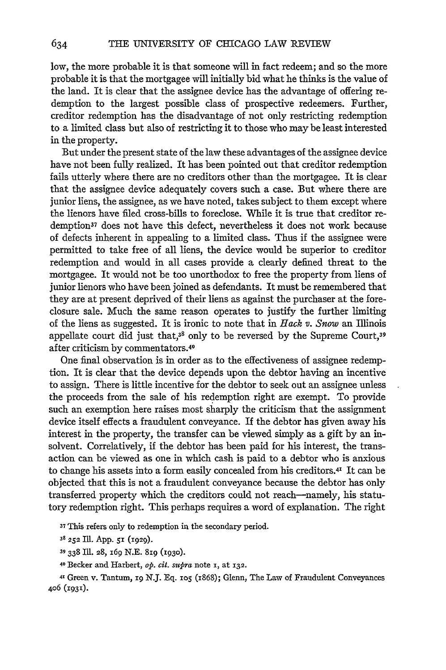low, the more probable it is that someone will in fact redeem; and so the more probable it is that the mortgagee will initially bid what he thinks is the value of the land. It is clear that the assignee device has the advantage of offering redemption to the largest possible class of prospective redeemers. Further, creditor redemption has the disadvantage of not only restricting redemption to a limited class but also of restricting it to those who may be least interested in the property.

But under the present state of the law these advantages of the assignee device have not been fully realized. It has been pointed out that creditor redemption fails utterly where there are no creditors other than the mortgagee. It is clear that the assignee device adequately covers such a case. But where there are junior liens, the assignee, as we have noted, takes subject to them except where the lienors have filed cross-bills to foreclose. While it is true that creditor redemption<sup>37</sup> does not have this defect, nevertheless it does not work because of defects inherent in appealing to a limited class. Thus if the assignee were permitted to take free of all liens, the device would be superior to creditor redemption and would in all cases provide a clearly defined threat to the mortgagee. It would not be too unorthodox to free the property from liens of junior lienors who have been joined as defendants. It must be remembered that they are at present deprived of their liens as against the purchaser at the foreclosure sale. Much the same reason operates to justify the further limiting of the liens as suggested. It is ironic to note that in *Hack v. Snow* an Illinois appellate court did just that,<sup>38</sup> only to be reversed by the Supreme Court,<sup>39</sup> after criticism by commentators. <sup>40</sup>

One final observation is in order as to the effectiveness of assignee redemption. It is clear that the device depends upon the debtor having an incentive to assign. There is little incentive for the debtor to seek out an assignee unless the proceeds from the sale of his redemption right are exempt. To provide such an exemption here raises most sharply the criticism that the assignment device itself effects a fraudulent conveyance. If the debtor has given away his interest in the property, the transfer can be viewed simply as a gift by an insolvent. Correlatively, if the debtor has been paid for his interest, the transaction can be viewed as one in which cash is paid to a debtor who is anxious to change his assets into a form easily concealed from his creditors.4' It can be objected that this is not a fraudulent conveyance because the debtor has only transferred property which the creditors could not reach-namely, his statutory redemption right. This perhaps requires a word of explanation. The right

**<sup>37</sup>**This refers **only to** redemption in the secondary period.

**38 252** Ill. **App.** 51 (1929).

**39 338 Ill. 28, i6g N.E. Sg (293o).**

<sup>40</sup> Becker and Harbert, op. cit. supra note 1, at 132.

41 Green v. Tantum, **i9 N.J. Eq.** *io5* (1868); Glenn, The Law **of** Fraudulent Conveyances **4o6 (1931).**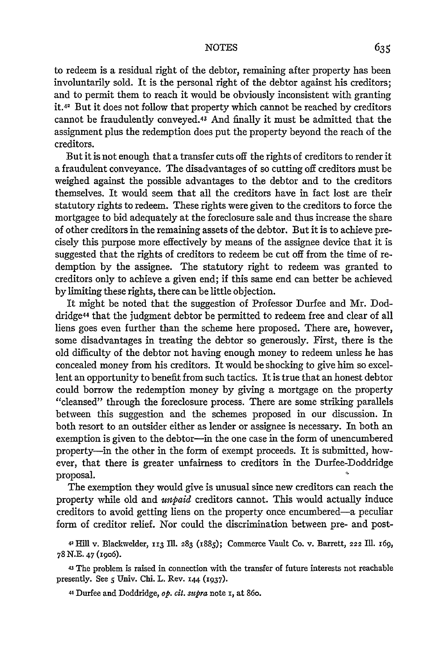to redeem is a residual right of the debtor, remaining after property has been involuntarily sold. It is the personal right of the debtor against his creditors; and to permit them to reach it would be obviously inconsistent with granting it.42 But it does not follow that property which cannot be reached by creditors cannot be fraudulently conveyed.43 And finally it must be admitted that the assignment plus the redemption does put the property beyond the reach of the creditors.

But it is not enough that a transfer cuts off the rights of creditors to render it a fraudulent conveyance. The disadvantages of so cutting off creditors must be weighed against the possible advantages to the debtor and to the creditors themselves. It would seem that all the creditors have in fact lost are their statutory rights to redeem. These rights were given to the creditors to force the mortgagee to bid adequately at the foreclosure sale and thus increase the share of other creditors in the remaining assets of the debtor. But it is to achieve precisely this purpose more effectively by means of the assignee device that it is suggested that the rights of creditors to redeem be cut off from the time of redemption by the assignee. The statutory right to redeem was granted to creditors only to achieve a given end; if this same end can better be achieved by limiting these rights, there can be little objection.

It might be noted that the suggestion of Professor Durfee and Mr. Doddridge44 that the judgment debtor be permitted to redeem free and clear of all liens goes even further than the scheme here proposed. There are, however, some disadvantages in treating the debtor so generously. First, there is the old difficulty of the debtor not having enough money to redeem unless he has concealed money from his creditors. It would be shocking to give him so excellent an opportunity to benefit from such tactics. It is true that an honest debtor could borrow the redemption money by giving a mortgage on the property "cleansed" through the foreclosure process. There are some striking parallels between this suggestion and the schemes proposed in our discussion. In both resort to an outsider either as lender or assignee is necessary. In both an exemption is given to the debtor-in the one case in the form of unencumbered property-in the other in the form of exempt proceeds. It is submitted, however, that there is greater unfairness to creditors in the Durfee-Doddridge proposal.

The exemption they would give is unusual since new creditors can reach the property while old and *unpaid* creditors cannot. This would actually induce creditors to avoid getting liens on the property once encumbered-a peculiar form of creditor relief. Nor could the discrimination between pre- and post-

**43** The problem is raised in connection with the transfer of future interests not reachable presently. See 5 Univ. Chi. L. Rev. 144 (1937).

**44** Durfee and Doddridge, *op. cit. supra* note i, at 86o.

<sup>42</sup> Hill v. Blackwelder, **113 Ill. 283** (1885); Commerce Vault Co. v. Barrett, 222 Ill. 169, 78 N.E. 47 (i9o6).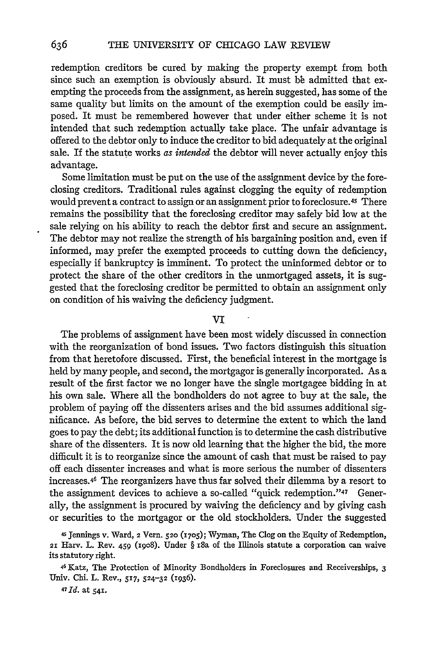redemption creditors be cured **by** making the property exempt from both since such an exemption is obviously absurd. It must be admitted that exempting the proceeds from the assignment, as herein suggested, has some of the same quality but limits on the amount of the exemption could be easily imposed. It must be remembered however that under either scheme it is not intended that such redemption actually take place. The unfair advantage is offered to the debtor only to induce the creditor to bid adequately at the original sale. **If** the statute works *as intended* the debtor will never actually enjoy this advantage.

Some limitation must be put on the use of the assignment device **by** the foreclosing creditors. Traditional rules against clogging the equity of redemption would prevent a contract to assign or an assignment prior to foreclosure.45 There remains the possibility that the foreclosing creditor may safely bid low at the sale relying on his ability to reach the debtor first and secure an assignment. The debtor may not realize the strength of his bargaining position and, even if informed, may prefer the exempted proceeds to cutting down the deficiency, especially if bankruptcy is imminent. To protect the uninformed debtor or to protect the share of the other creditors in the unmortgaged assets, it is suggested that the foreclosing creditor be permitted to obtain an assignment only on condition of his waiving the deficiency judgment.

**VI**

The problems of assignment have been most widely discussed in connection with the reorganization of bond issues. Two factors distinguish this situation from that heretofore discussed. First, the beneficial interest in the mortgage is held **by** many people, and second, the mortgagor is generally incorporated. As a result of the first factor we no longer have the single mortgagee bidding in at his own sale. Where all the bondholders do not agree to buy at the sale, the problem of paying off the dissenters arises and the bid assumes additional significance. As before, the bid serves to determine the extent to which the land goes to pay the debt; its additional function is to determine the cash distributive share of the dissenters. It is now old learning that the higher the bid, the more difficult it is to reorganize since the amount of cash that must be raised to pay off each dissenter increases and what is more serious the number of dissenters increases.46 The reorganizers have thus far solved their dilemma **by** a resort to the assignment devices to achieve a so-called "quick redemption."47 Generally, the assignment is procured **by** waiving the deficiency and **by** giving cash or securities to the mortgagor or the old stockholders. Under the suggested

**45 Jennings v. Ward, 2 Vern. 520 (1705); Wyman, The Clog on the Equity of Redemption, 21 Harv. L. Rev. 459 (19o8). Under § i8a of the Illinois statute a corporation can waive its statutory right.**

**46 Katz, The Protection of Minority Bondholders in Foreclosures and Receiverships, 3 Univ. Chi. L. Rev., 517, 524-32 (1936).**

*47 Id.* **at 541.**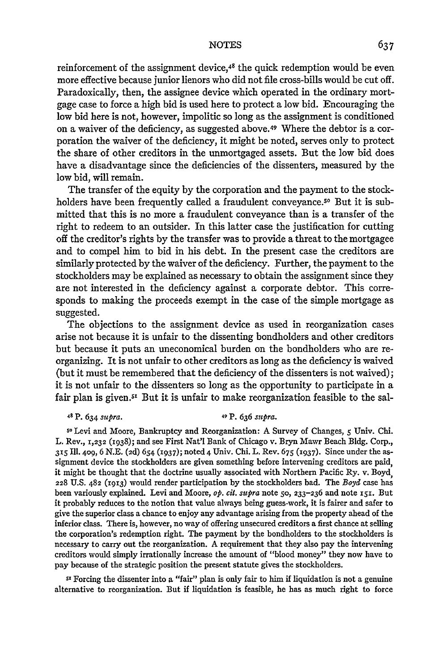reinforcement of the assignment device, $4^8$  the quick redemption would be even more effective because junior lienors who did not file cross-bills would be cut off. Paradoxically, then, the assignee device which operated in the ordinary mortgage case to force a high bid is used here to protect a low bid. Encouraging the low bid here is not, however, impolitic so long as the assignment is conditioned on a waiver of the deficiency, as suggested above.49 Where the debtor is a corporation the waiver of the deficiency, it might be noted, serves only to protect the share of other creditors in the unmortgaged assets. But the low bid does have a disadvantage since the deficiencies of the dissenters, measured by the low bid, will remain.

The transfer of the equity by the corporation and the payment to the stockholders have been frequently called a fraudulent conveyance.<sup>50</sup> But it is submitted that this is no more a fraudulent conveyance than is a transfer of the right to redeem to an outsider. In this latter case the justification for cutting off the creditor's rights by the transfer was to provide a threat to the mortgagee and to compel him to bid in his debt. In the present case the creditors are similarly protected by the waiver of the deficiency. Further, the payment to the stockholders may be explained as necessary to obtain the assignment since they are not interested in the deficiency against a corporate debtor. This corresponds to making the proceeds exempt in the case of the simple mortgage as suggested.

The objections to the assignment device as used in reorganization cases arise not because it is unfair to the dissenting bondholders and other creditors but because it puts an uneconomical burden on the bondholders who are reorganizing. It is not unfair to other creditors as long as the deficiency is waived (but it must be remembered that the deficiency of the dissenters is not waived); it is not unfair to the dissenters so long as the opportunity to participate in a fair plan is given. $51$  But it is unfair to make reorganization feasible to the sal-

#### **<sup>48</sup>**P. 634 *supra.* 49 P. **636** *supra.*

**so** Levi and Moore, Bankruptcy and Reorganization: A Survey of Changes, **5** Univ. Chi. L. Rev., 1,232 (1938); and see First Nat'l Bank of Chicago v. Bryn Mawr Beach Bldg. Corp., **315** Il. 409, 6 N.E. (2d) 654 (i937); noted 4 Univ. Chi. L. Rev. **675** (i937). Since under the assignment device the stockholders are given something before intervening creditors are paid, it might be thought that the doctrine usually associated with Northern Pacific Ry. v. Boyd, **228** U.S. 482 **(1913)** would render participation by the stockholders bad. The *Boyd* case has been variously explained. Levi and Moore, *op. cit. supra* note **50, 233-236** and note 151. But it probably reduces to the notion that value always being guess-work, it is fairer and safer to give the superior class a chance to enjoy any advantage arising from the property ahead of the inferior class. There is, however, no way of offering unsecured creditors a first chance at selling the corporation's redemption right. The payment by the bondholders to the stockholders is necessary to carry out the reorganization. A requirement that they also pay the intervening creditors would simply irrationally increase the amount of "blood money" they now have to pay because of the strategic position the present statute gives the stockholders.

*s'* Forcing the dissenter into **i** "fair" plan is only fair to him **if** liquidation is not a genuine alternative to reorganization. But if liquidation is feasible, he has as much right to force